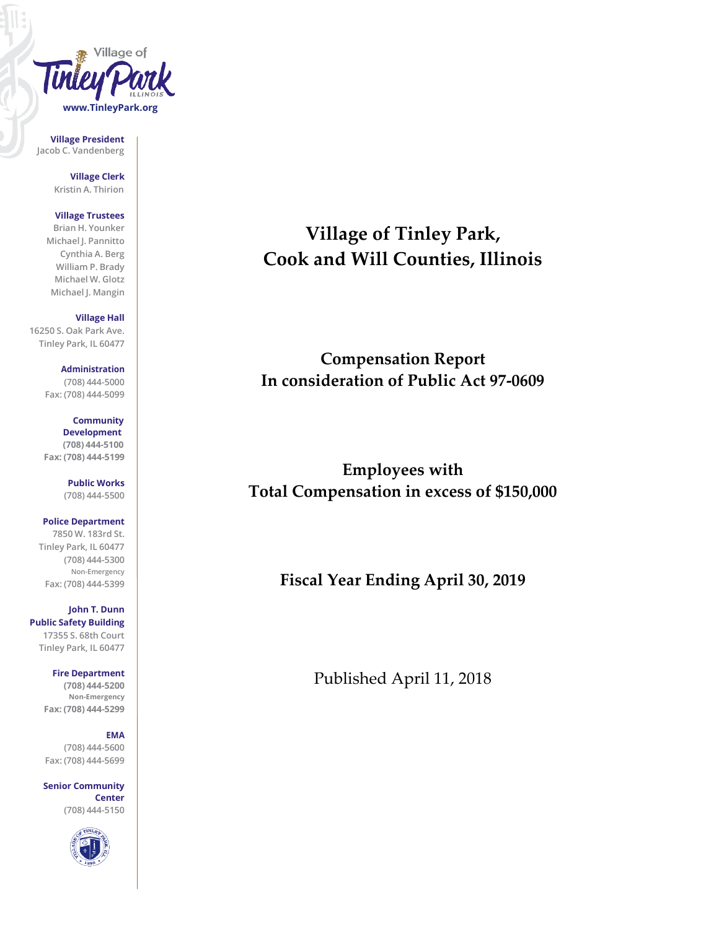

**Village President Jacob C. Vandenberg**

> **Village Clerk Kristin A. Thirion**

# **Village Trustees**

**Brian H. Younker Michael J. Pannitto Cynthia A. Berg William P. Brady Michael W. Glotz Michael J. Mangin**

## **Village Hall**

**16250 S. Oak Park Ave. Tinley Park, IL 60477**

> **Administration (708) 444-5000 Fax: (708) 444-5099**

> **Community Development (708) 444-5100 Fax: (708) 444-5199**

> > **Public Works (708) 444-5500**

**Police Department 7850 W. 183rd St. Tinley Park, IL 60477 (708) 444-5300 Non-Emergency Fax: (708) 444-5399**

**John T. Dunn Public Safety Building 17355 S. 68th Court Tinley Park, IL 60477**

> **Fire Department (708) 444-5200 Non-Emergency Fax: (708) 444-5299**

#### **EMA**

**(708) 444-5600 Fax: (708) 444-5699**

**Senior Community Center (708) 444-5150**



**Village of Tinley Park, Cook and Will Counties, Illinois**

**Compensation Report In consideration of Public Act 97-0609**

**Employees with Total Compensation in excess of \$150,000**

**Fiscal Year Ending April 30, 2019**

Published April 11, 2018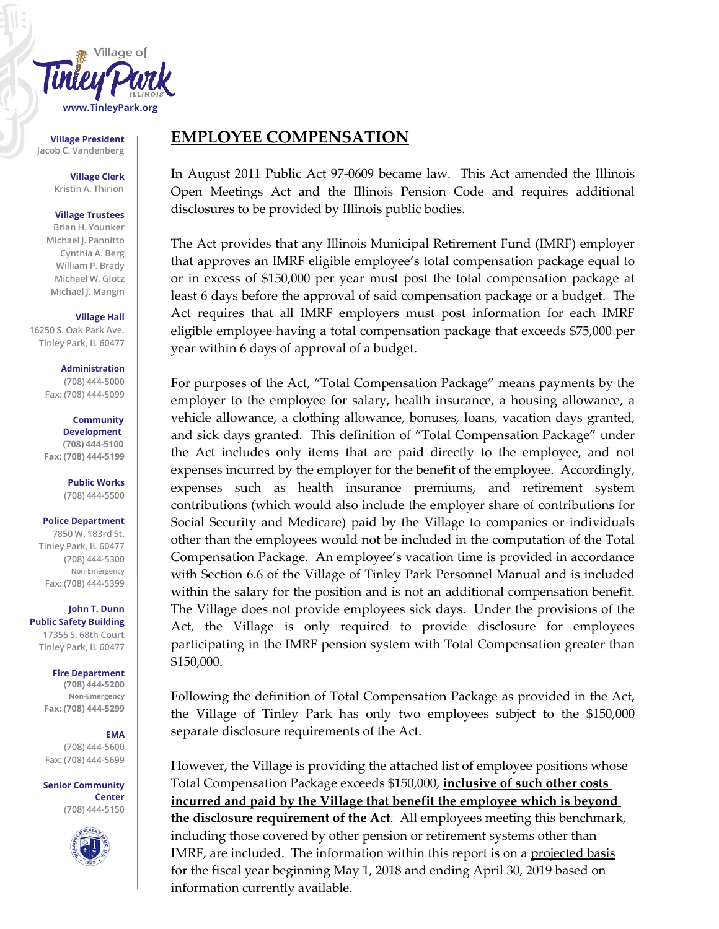

**Village President Jacob C. Vandenberg**

> **Village Clerk Kristin A. Thirion**

#### **Village Trustees**

**Brian H. Younker Michael J. Pannitto Cynthia A. Berg William P. Brady Michael W. Glotz Michael J. Mangin**

**Village Hall**

**16250 S. Oak Park Ave. Tinley Park, IL 60477**

> **Administration (708) 444-5000 Fax: (708) 444-5099**

**Community Development (708) 444-5100 Fax: (708) 444-5199**

> **Public Works (708) 444-5500**

#### **Police Department**

**7850 W. 183rd St. Tinley Park, IL 60477 (708) 444-5300 Non-Emergency Fax: (708) 444-5399**

**John T. Dunn Public Safety Building 17355 S. 68th Court Tinley Park, IL 60477**

#### **Fire Department**

**(708) 444-5200 Non-Emergency Fax: (708) 444-5299**

# **EMA**

**(708) 444-5600 Fax: (708) 444-5699**

**Senior Community Center (708) 444-5150**



# **EMPLOYEE COMPENSATION**

In August 2011 Public Act 97-0609 became law. This Act amended the Illinois Open Meetings Act and the Illinois Pension Code and requires additional disclosures to be provided by Illinois public bodies.

The Act provides that any Illinois Municipal Retirement Fund (IMRF) employer that approves an IMRF eligible employee's total compensation package equal to or in excess of \$150,000 per year must post the total compensation package at least 6 days before the approval of said compensation package or a budget. The Act requires that all IMRF employers must post information for each IMRF eligible employee having a total compensation package that exceeds \$75,000 per year within 6 days of approval of a budget.

For purposes of the Act, "Total Compensation Package" means payments by the employer to the employee for salary, health insurance, a housing allowance, a vehicle allowance, a clothing allowance, bonuses, loans, vacation days granted, and sick days granted. This definition of "Total Compensation Package" under the Act includes only items that are paid directly to the employee, and not expenses incurred by the employer for the benefit of the employee. Accordingly, expenses such as health insurance premiums, and retirement system contributions (which would also include the employer share of contributions for Social Security and Medicare) paid by the Village to companies or individuals other than the employees would not be included in the computation of the Total Compensation Package. An employee's vacation time is provided in accordance with Section 6.6 of the Village of Tinley Park Personnel Manual and is included within the salary for the position and is not an additional compensation benefit. The Village does not provide employees sick days. Under the provisions of the Act, the Village is only required to provide disclosure for employees participating in the IMRF pension system with Total Compensation greater than \$150,000.

Following the definition of Total Compensation Package as provided in the Act, the Village of Tinley Park has only two employees subject to the \$150,000 separate disclosure requirements of the Act.

However, the Village is providing the attached list of employee positions whose Total Compensation Package exceeds \$150,000, **inclusive of such other costs incurred and paid by the Village that benefit the employee which is beyond the disclosure requirement of the Act**. All employees meeting this benchmark, including those covered by other pension or retirement systems other than IMRF, are included. The information within this report is on a projected basis for the fiscal year beginning May 1, 2018 and ending April 30, 2019 based on information currently available.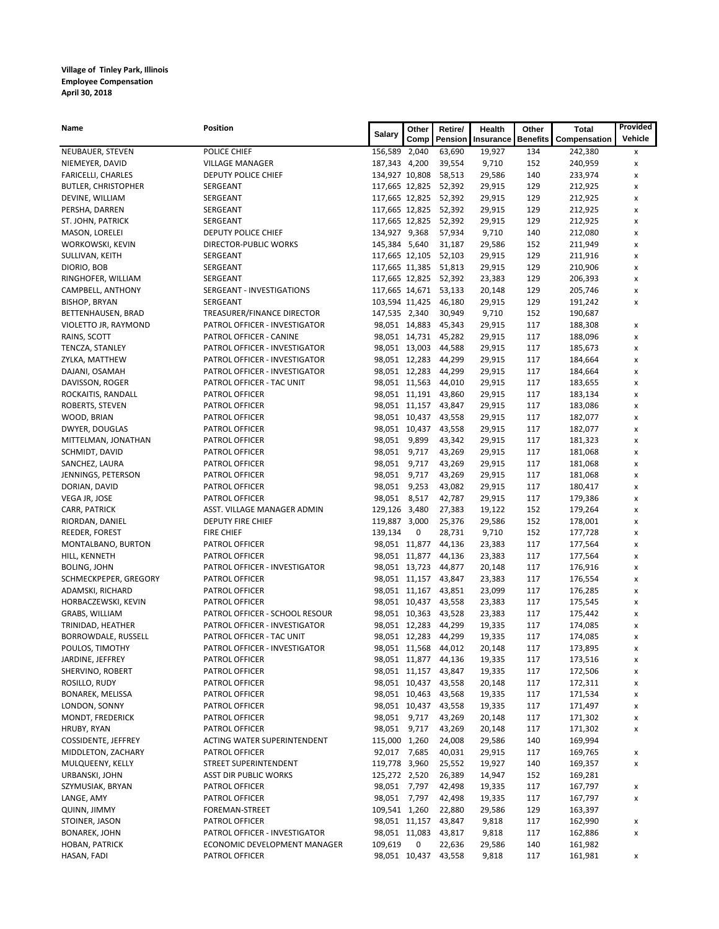### **Village of Tinley Park, Illinois Employee Compensation April 30, 2018**

| Name                                      | Position                           | <b>Salary</b>                    | Other         | Retire/                         | Health           | Other           | Total              | Provided            |
|-------------------------------------------|------------------------------------|----------------------------------|---------------|---------------------------------|------------------|-----------------|--------------------|---------------------|
|                                           |                                    |                                  | Comp          | Pension                         | Insurance        | <b>Benefits</b> | Compensation       | Vehicle             |
| NEUBAUER, STEVEN                          | POLICE CHIEF                       | 156,589 2,040                    |               | 63,690                          | 19,927           | 134             | 242,380            | x                   |
| NIEMEYER, DAVID                           | <b>VILLAGE MANAGER</b>             | 187,343 4,200                    |               | 39,554                          | 9,710            | 152             | 240,959            | x                   |
| <b>FARICELLI, CHARLES</b>                 | DEPUTY POLICE CHIEF                | 134,927 10,808                   |               | 58,513                          | 29,586           | 140             | 233,974            | x                   |
| <b>BUTLER, CHRISTOPHER</b>                | SERGEANT                           |                                  |               | 117,665 12,825 52,392           | 29,915           | 129             | 212,925            | x                   |
| DEVINE, WILLIAM                           | SERGEANT                           | 117,665 12,825                   |               | 52,392                          | 29,915           | 129             | 212,925            | x                   |
| PERSHA, DARREN                            | SERGEANT                           |                                  |               | 117,665 12,825 52,392           | 29,915           | 129             | 212,925            | $\pmb{\times}$      |
| ST. JOHN, PATRICK                         | SERGEANT                           | 117,665 12,825                   |               | 52,392                          | 29,915           | 129             | 212,925            | x                   |
| MASON, LORELEI                            | DEPUTY POLICE CHIEF                | 134,927 9,368                    |               | 57,934                          | 9,710            | 140             | 212,080            | x                   |
| WORKOWSKI, KEVIN                          | <b>DIRECTOR-PUBLIC WORKS</b>       | 145,384 5,640                    |               | 31,187                          | 29,586           | 152             | 211,949            | x                   |
| SULLIVAN, KEITH                           | SERGEANT                           | 117,665 12,105                   |               | 52,103                          | 29,915           | 129             | 211,916            | x                   |
| DIORIO, BOB                               | SERGEANT<br>SERGEANT               |                                  |               | 117,665 11,385 51,813           | 29,915           | 129             | 210,906            | x                   |
| RINGHOFER, WILLIAM                        | SERGEANT - INVESTIGATIONS          |                                  |               | 117,665 12,825 52,392<br>53,133 | 23,383<br>20,148 | 129<br>129      | 206,393<br>205,746 | x<br>$\pmb{\times}$ |
| CAMPBELL, ANTHONY<br><b>BISHOP, BRYAN</b> | SERGEANT                           | 117,665 14,671<br>103,594 11,425 |               | 46,180                          | 29,915           | 129             | 191,242            | x                   |
| BETTENHAUSEN, BRAD                        | TREASURER/FINANCE DIRECTOR         | 147,535 2,340                    |               | 30,949                          | 9,710            | 152             | 190,687            |                     |
| VIOLETTO JR, RAYMOND                      | PATROL OFFICER - INVESTIGATOR      | 98,051 14,883                    |               | 45,343                          | 29,915           | 117             | 188,308            | x                   |
| RAINS, SCOTT                              | PATROL OFFICER - CANINE            |                                  |               | 98,051 14,731 45,282            | 29,915           | 117             | 188,096            | x                   |
| TENCZA, STANLEY                           | PATROL OFFICER - INVESTIGATOR      |                                  |               | 98,051 13,003 44,588            | 29,915           | 117             | 185,673            | x                   |
| ZYLKA, MATTHEW                            | PATROL OFFICER - INVESTIGATOR      |                                  | 98,051 12,283 | 44,299                          | 29,915           | 117             | 184,664            | x                   |
| DAJANI, OSAMAH                            | PATROL OFFICER - INVESTIGATOR      |                                  |               | 98,051 12,283 44,299            | 29,915           | 117             | 184,664            | x                   |
| DAVISSON, ROGER                           | PATROL OFFICER - TAC UNIT          |                                  |               | 98,051 11,563 44,010            | 29,915           | 117             | 183,655            | x                   |
| ROCKAITIS, RANDALL                        | PATROL OFFICER                     |                                  |               | 98,051 11,191 43,860            | 29,915           | 117             | 183,134            | x                   |
| ROBERTS, STEVEN                           | PATROL OFFICER                     |                                  |               | 98,051 11,157 43,847            | 29,915           | 117             | 183,086            | x                   |
| WOOD, BRIAN                               | PATROL OFFICER                     |                                  |               | 98,051 10,437 43,558            | 29,915           | 117             | 182,077            | x                   |
| DWYER, DOUGLAS                            | PATROL OFFICER                     |                                  |               | 98,051 10,437 43,558            | 29,915           | 117             | 182,077            | x                   |
| MITTELMAN, JONATHAN                       | PATROL OFFICER                     | 98,051                           | 9,899         | 43,342                          | 29,915           | 117             | 181,323            | x                   |
| SCHMIDT, DAVID                            | PATROL OFFICER                     | 98,051                           | 9,717         | 43,269                          | 29,915           | 117             | 181,068            | $\pmb{\times}$      |
| SANCHEZ, LAURA                            | PATROL OFFICER                     | 98,051                           | 9,717         | 43,269                          | 29,915           | 117             | 181,068            | x                   |
| JENNINGS, PETERSON                        | PATROL OFFICER                     | 98,051 9,717                     |               | 43,269                          | 29,915           | 117             | 181,068            | x                   |
| DORIAN, DAVID                             | PATROL OFFICER                     | 98,051                           | 9,253         | 43,082                          | 29,915           | 117             | 180,417            | x                   |
| VEGA JR, JOSE                             | PATROL OFFICER                     | 98,051 8,517                     |               | 42,787                          | 29,915           | 117             | 179,386            | x                   |
| CARR, PATRICK                             | ASST. VILLAGE MANAGER ADMIN        | 129,126 3,480                    |               | 27,383                          | 19,122           | 152             | 179,264            | x                   |
| RIORDAN, DANIEL                           | DEPUTY FIRE CHIEF                  | 119,887 3,000                    |               | 25,376                          | 29,586           | 152             | 178,001            | x                   |
| REEDER, FOREST                            | <b>FIRE CHIEF</b>                  | 139,134                          | 0             | 28,731                          | 9,710            | 152             | 177,728            | x                   |
| MONTALBANO, BURTON                        | PATROL OFFICER                     | 98,051 11,877                    |               | 44,136                          | 23,383           | 117             | 177,564            | x                   |
| HILL, KENNETH                             | PATROL OFFICER                     | 98,051 11,877                    |               | 44,136                          | 23,383           | 117             | 177,564            | x                   |
| <b>BOLING, JOHN</b>                       | PATROL OFFICER - INVESTIGATOR      |                                  |               | 98,051 13,723 44,877            | 20,148           | 117             | 176,916            | x                   |
| SCHMECKPEPER, GREGORY                     | PATROL OFFICER                     |                                  |               | 98,051 11,157 43,847            | 23,383           | 117             | 176,554            | x                   |
| ADAMSKI, RICHARD                          | PATROL OFFICER                     |                                  |               | 98,051 11,167 43,851            | 23,099           | 117             | 176,285            | x                   |
| HORBACZEWSKI, KEVIN                       | PATROL OFFICER                     |                                  |               | 98,051 10,437 43,558            | 23,383           | 117             | 175,545            | x                   |
| GRABS, WILLIAM                            | PATROL OFFICER - SCHOOL RESOUR     | 98,051 10,363                    |               | 43,528                          | 23,383           | 117             | 175,442            | x                   |
| TRINIDAD, HEATHER                         | PATROL OFFICER - INVESTIGATOR      |                                  | 98,051 12,283 | 44,299                          | 19,335           | 117             | 174,085            | x                   |
| BORROWDALE, RUSSELL                       | PATROL OFFICER - TAC UNIT          |                                  |               | 98,051 12,283 44,299            | 19,335           | 117             | 174,085            | x                   |
| POULOS, TIMOTHY                           | PATROL OFFICER - INVESTIGATOR      |                                  |               | 98,051 11,568 44,012            | 20,148           | 117             | 173,895            | x                   |
| JARDINE, JEFFREY                          | PATROL OFFICER                     |                                  |               | 98,051 11,877 44,136            | 19,335           | 117             | 173,516            | x                   |
| SHERVINO, ROBERT                          | PATROL OFFICER                     |                                  |               | 98,051 11,157 43,847            | 19,335           | 117             | 172,506            | x                   |
| ROSILLO, RUDY                             | PATROL OFFICER                     |                                  |               | 98,051 10,437 43,558            | 20,148           | 117             | 172,311            | x                   |
| <b>BONAREK, MELISSA</b>                   | PATROL OFFICER                     |                                  |               | 98,051 10,463 43,568            | 19,335           | 117             | 171,534            | x                   |
| LONDON, SONNY                             | PATROL OFFICER                     | 98,051 10,437                    |               | 43,558                          | 19,335           | 117             | 171,497            | х                   |
| MONDT, FREDERICK                          | PATROL OFFICER                     | 98,051 9,717                     |               | 43,269                          | 20,148           | 117             | 171,302            | x                   |
| HRUBY, RYAN                               | PATROL OFFICER                     | 98,051 9,717                     |               | 43,269                          | 20,148           | 117             | 171,302            | x                   |
| COSSIDENTE, JEFFREY                       | <b>ACTING WATER SUPERINTENDENT</b> | 115,000 1,260                    |               | 24,008                          | 29,586           | 140             | 169,994            |                     |
| MIDDLETON, ZACHARY                        | PATROL OFFICER                     | 92,017 7,685                     |               | 40,031                          | 29,915           | 117             | 169,765            | x                   |
| MULQUEENY, KELLY                          | STREET SUPERINTENDENT              | 119,778 3,960                    |               | 25,552                          | 19,927           | 140             | 169,357            | x                   |
| URBANSKI, JOHN                            | <b>ASST DIR PUBLIC WORKS</b>       | 125,272 2,520                    |               | 26,389                          | 14,947           | 152             | 169,281            |                     |
| SZYMUSIAK, BRYAN                          | PATROL OFFICER                     | 98,051 7,797                     |               | 42,498                          | 19,335           | 117             | 167,797            | x                   |
| LANGE, AMY                                | PATROL OFFICER                     | 98,051 7,797                     |               | 42,498                          | 19,335           | 117             | 167,797            | x                   |
| QUINN, JIMMY                              | FOREMAN-STREET                     | 109,541 1,260                    |               | 22,880                          | 29,586           | 129             | 163,397            |                     |
| STOINER, JASON                            | PATROL OFFICER                     | 98,051 11,157                    |               | 43,847                          | 9,818            | 117             | 162,990            | x                   |
| BONAREK, JOHN                             | PATROL OFFICER - INVESTIGATOR      | 98,051 11,083                    |               | 43,817                          | 9,818            | 117             | 162,886            | x                   |
| HOBAN, PATRICK                            | ECONOMIC DEVELOPMENT MANAGER       | 109,619                          | 0             | 22,636                          | 29,586           | 140             | 161,982            |                     |
| HASAN, FADI                               | PATROL OFFICER                     |                                  |               | 98,051 10,437 43,558            | 9,818            | 117             | 161,981            | x                   |